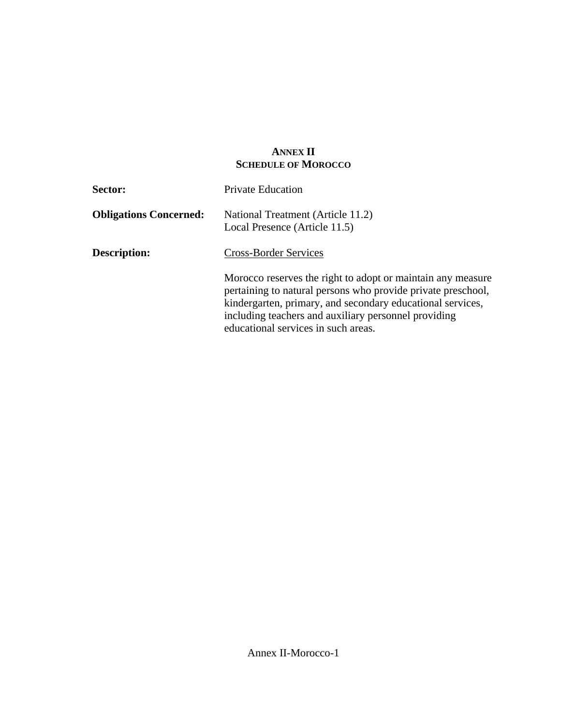## **ANNEX II SCHEDULE OF MOROCCO**

| <b>Sector:</b>                | <b>Private Education</b>                                                                                                                                                                                                                                                                 |  |  |
|-------------------------------|------------------------------------------------------------------------------------------------------------------------------------------------------------------------------------------------------------------------------------------------------------------------------------------|--|--|
| <b>Obligations Concerned:</b> | National Treatment (Article 11.2)<br>Local Presence (Article 11.5)                                                                                                                                                                                                                       |  |  |
| <b>Description:</b>           | <b>Cross-Border Services</b>                                                                                                                                                                                                                                                             |  |  |
|                               | Morocco reserves the right to adopt or maintain any measure<br>pertaining to natural persons who provide private preschool,<br>kindergarten, primary, and secondary educational services,<br>including teachers and auxiliary personnel providing<br>educational services in such areas. |  |  |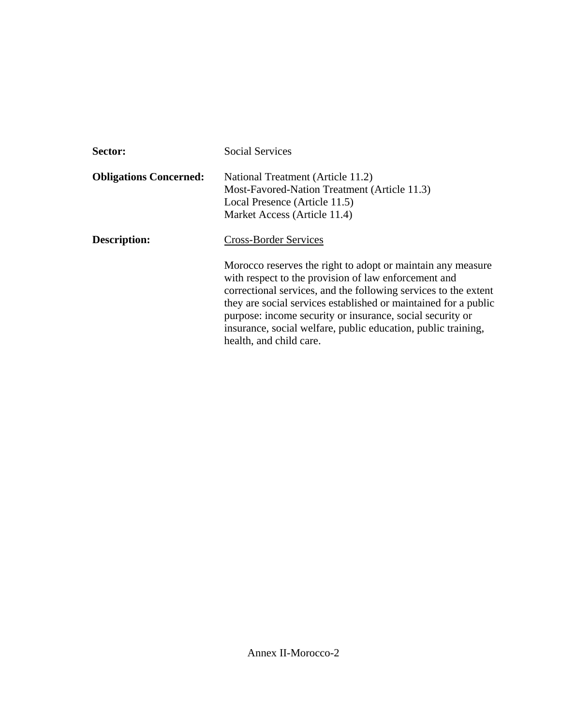| Sector:                       | <b>Social Services</b>                                                                                                                                                                                                                                                                                                                                                                                             |  |  |
|-------------------------------|--------------------------------------------------------------------------------------------------------------------------------------------------------------------------------------------------------------------------------------------------------------------------------------------------------------------------------------------------------------------------------------------------------------------|--|--|
| <b>Obligations Concerned:</b> | National Treatment (Article 11.2)<br>Most-Favored-Nation Treatment (Article 11.3)<br>Local Presence (Article 11.5)<br>Market Access (Article 11.4)                                                                                                                                                                                                                                                                 |  |  |
| <b>Description:</b>           | <b>Cross-Border Services</b>                                                                                                                                                                                                                                                                                                                                                                                       |  |  |
|                               | Morocco reserves the right to adopt or maintain any measure<br>with respect to the provision of law enforcement and<br>correctional services, and the following services to the extent<br>they are social services established or maintained for a public<br>purpose: income security or insurance, social security or<br>insurance, social welfare, public education, public training,<br>health, and child care. |  |  |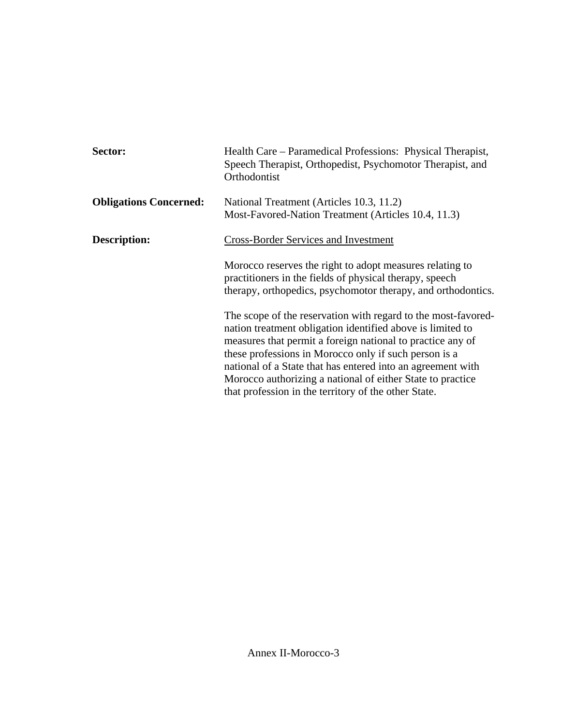| Sector:                       | Health Care – Paramedical Professions: Physical Therapist,<br>Speech Therapist, Orthopedist, Psychomotor Therapist, and<br>Orthodontist                                                                                                                                                                                                                                                                                                 |  |  |
|-------------------------------|-----------------------------------------------------------------------------------------------------------------------------------------------------------------------------------------------------------------------------------------------------------------------------------------------------------------------------------------------------------------------------------------------------------------------------------------|--|--|
| <b>Obligations Concerned:</b> | National Treatment (Articles 10.3, 11.2)<br>Most-Favored-Nation Treatment (Articles 10.4, 11.3)                                                                                                                                                                                                                                                                                                                                         |  |  |
| <b>Description:</b>           | <b>Cross-Border Services and Investment</b>                                                                                                                                                                                                                                                                                                                                                                                             |  |  |
|                               | Morocco reserves the right to adopt measures relating to<br>practitioners in the fields of physical therapy, speech<br>therapy, orthopedics, psychomotor therapy, and orthodontics.                                                                                                                                                                                                                                                     |  |  |
|                               | The scope of the reservation with regard to the most-favored-<br>nation treatment obligation identified above is limited to<br>measures that permit a foreign national to practice any of<br>these professions in Morocco only if such person is a<br>national of a State that has entered into an agreement with<br>Morocco authorizing a national of either State to practice<br>that profession in the territory of the other State. |  |  |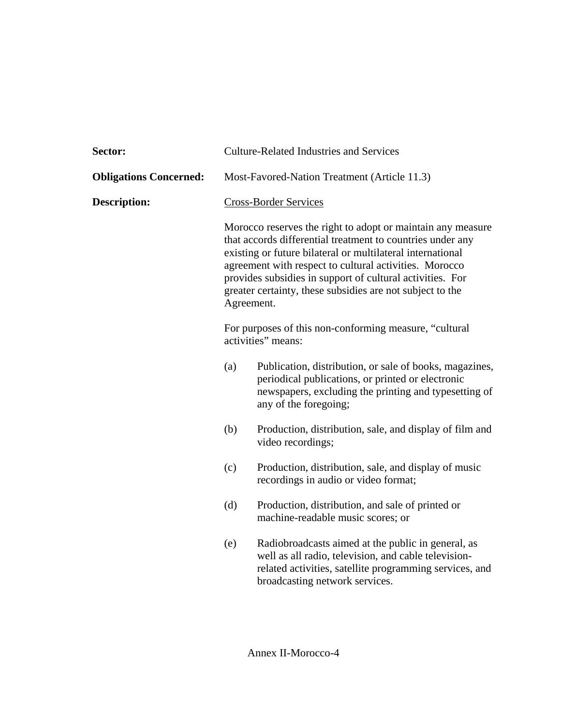| <b>Sector:</b>                | <b>Culture-Related Industries and Services</b>                                                                                                                                                                                                                                                                                                                                            |                                                                                                                                                                                                         |  |
|-------------------------------|-------------------------------------------------------------------------------------------------------------------------------------------------------------------------------------------------------------------------------------------------------------------------------------------------------------------------------------------------------------------------------------------|---------------------------------------------------------------------------------------------------------------------------------------------------------------------------------------------------------|--|
| <b>Obligations Concerned:</b> | Most-Favored-Nation Treatment (Article 11.3)                                                                                                                                                                                                                                                                                                                                              |                                                                                                                                                                                                         |  |
| <b>Description:</b>           | <b>Cross-Border Services</b>                                                                                                                                                                                                                                                                                                                                                              |                                                                                                                                                                                                         |  |
|                               | Morocco reserves the right to adopt or maintain any measure<br>that accords differential treatment to countries under any<br>existing or future bilateral or multilateral international<br>agreement with respect to cultural activities. Morocco<br>provides subsidies in support of cultural activities. For<br>greater certainty, these subsidies are not subject to the<br>Agreement. |                                                                                                                                                                                                         |  |
|                               | For purposes of this non-conforming measure, "cultural<br>activities" means:                                                                                                                                                                                                                                                                                                              |                                                                                                                                                                                                         |  |
|                               | (a)                                                                                                                                                                                                                                                                                                                                                                                       | Publication, distribution, or sale of books, magazines,<br>periodical publications, or printed or electronic<br>newspapers, excluding the printing and typesetting of<br>any of the foregoing;          |  |
|                               | (b)                                                                                                                                                                                                                                                                                                                                                                                       | Production, distribution, sale, and display of film and<br>video recordings;                                                                                                                            |  |
|                               | (c)                                                                                                                                                                                                                                                                                                                                                                                       | Production, distribution, sale, and display of music<br>recordings in audio or video format;                                                                                                            |  |
|                               | (d)                                                                                                                                                                                                                                                                                                                                                                                       | Production, distribution, and sale of printed or<br>machine-readable music scores; or                                                                                                                   |  |
|                               | (e)                                                                                                                                                                                                                                                                                                                                                                                       | Radiobroadcasts aimed at the public in general, as<br>well as all radio, television, and cable television-<br>related activities, satellite programming services, and<br>broadcasting network services. |  |
|                               |                                                                                                                                                                                                                                                                                                                                                                                           |                                                                                                                                                                                                         |  |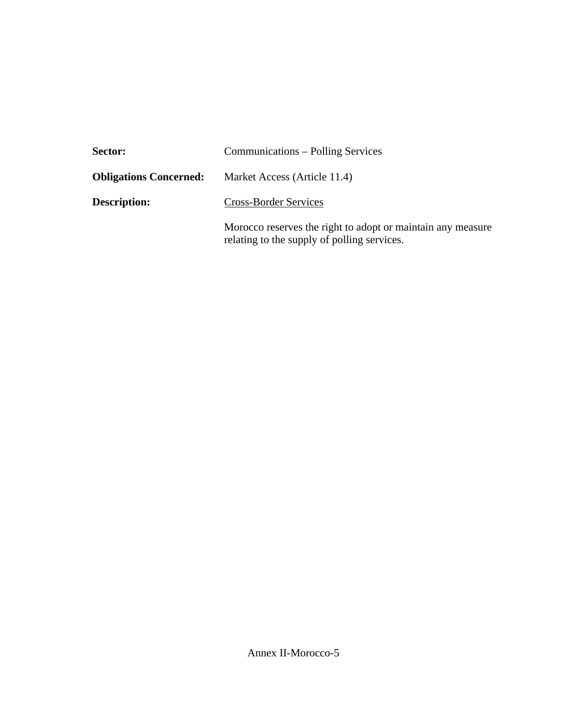| <b>Sector:</b>                | Communications – Polling Services                                                                          |  |  |
|-------------------------------|------------------------------------------------------------------------------------------------------------|--|--|
| <b>Obligations Concerned:</b> | Market Access (Article 11.4)                                                                               |  |  |
| <b>Description:</b>           | <b>Cross-Border Services</b>                                                                               |  |  |
|                               | Morocco reserves the right to adopt or maintain any measure<br>relating to the supply of polling services. |  |  |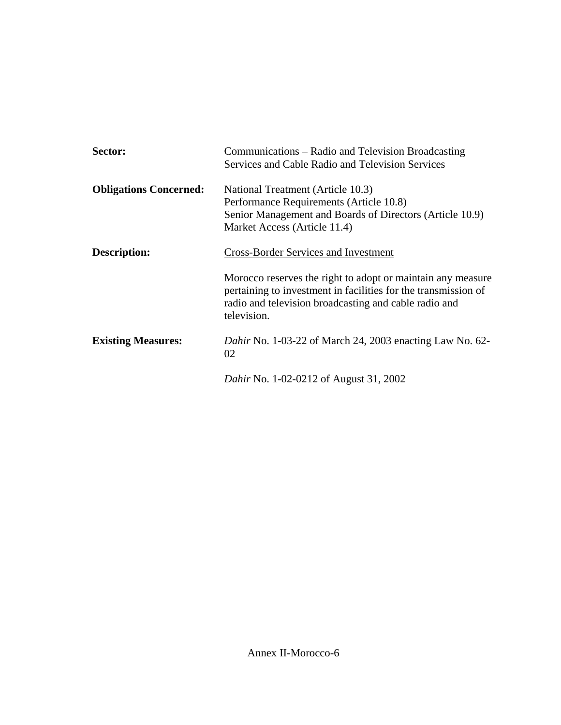| Sector:                       | Communications – Radio and Television Broadcasting<br>Services and Cable Radio and Television Services<br>National Treatment (Article 10.3)<br>Performance Requirements (Article 10.8)<br>Senior Management and Boards of Directors (Article 10.9)<br>Market Access (Article 11.4) |  |  |
|-------------------------------|------------------------------------------------------------------------------------------------------------------------------------------------------------------------------------------------------------------------------------------------------------------------------------|--|--|
| <b>Obligations Concerned:</b> |                                                                                                                                                                                                                                                                                    |  |  |
| <b>Description:</b>           | <b>Cross-Border Services and Investment</b>                                                                                                                                                                                                                                        |  |  |
|                               | Morocco reserves the right to adopt or maintain any measure<br>pertaining to investment in facilities for the transmission of<br>radio and television broadcasting and cable radio and<br>television.                                                                              |  |  |
| <b>Existing Measures:</b>     | <i>Dahir</i> No. 1-03-22 of March 24, 2003 enacting Law No. 62-<br>02                                                                                                                                                                                                              |  |  |
|                               | <i>Dahir</i> No. 1-02-0212 of August 31, 2002                                                                                                                                                                                                                                      |  |  |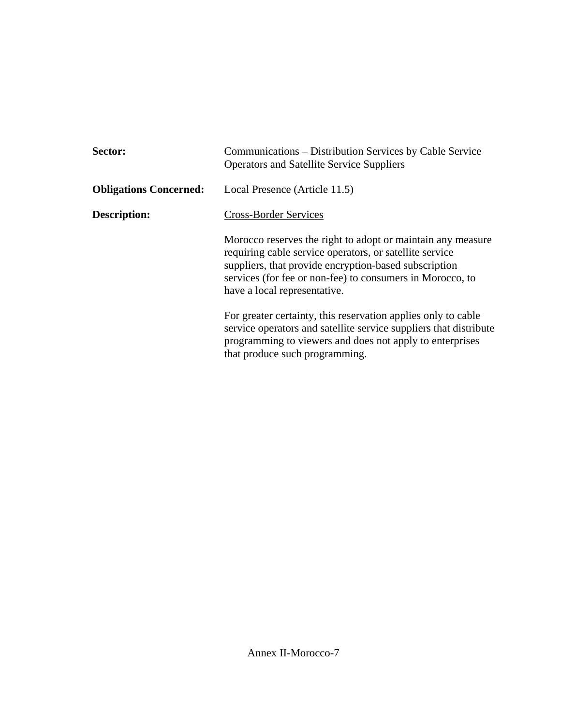| Sector:                       | Communications – Distribution Services by Cable Service<br><b>Operators and Satellite Service Suppliers</b>                                                                                                                                                                  |  |  |
|-------------------------------|------------------------------------------------------------------------------------------------------------------------------------------------------------------------------------------------------------------------------------------------------------------------------|--|--|
| <b>Obligations Concerned:</b> | Local Presence (Article 11.5)                                                                                                                                                                                                                                                |  |  |
| <b>Description:</b>           | Cross-Border Services                                                                                                                                                                                                                                                        |  |  |
|                               | Morocco reserves the right to adopt or maintain any measure<br>requiring cable service operators, or satellite service<br>suppliers, that provide encryption-based subscription<br>services (for fee or non-fee) to consumers in Morocco, to<br>have a local representative. |  |  |
|                               | For greater certainty, this reservation applies only to cable<br>service operators and satellite service suppliers that distribute<br>programming to viewers and does not apply to enterprises<br>that produce such programming.                                             |  |  |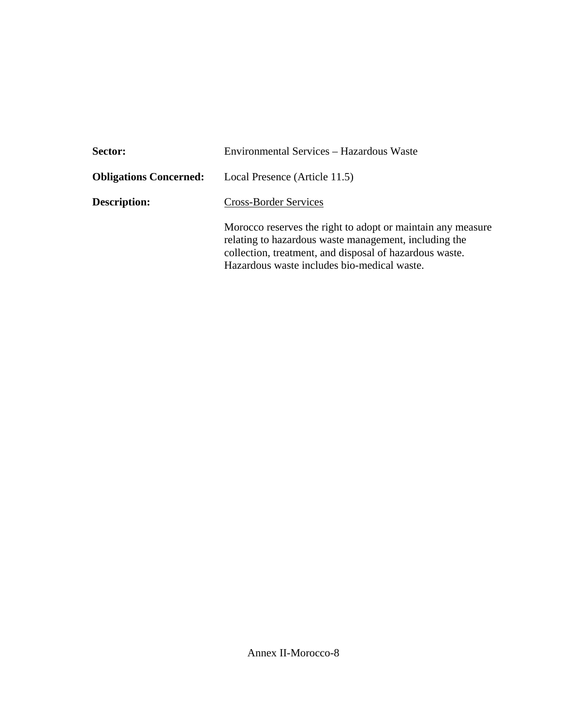| Sector:                       | Environmental Services - Hazardous Waste                                                                                                                                                                                       |  |  |
|-------------------------------|--------------------------------------------------------------------------------------------------------------------------------------------------------------------------------------------------------------------------------|--|--|
| <b>Obligations Concerned:</b> | Local Presence (Article 11.5)                                                                                                                                                                                                  |  |  |
| <b>Description:</b>           | <b>Cross-Border Services</b>                                                                                                                                                                                                   |  |  |
|                               | Morocco reserves the right to adopt or maintain any measure<br>relating to hazardous waste management, including the<br>collection, treatment, and disposal of hazardous waste.<br>Hazardous waste includes bio-medical waste. |  |  |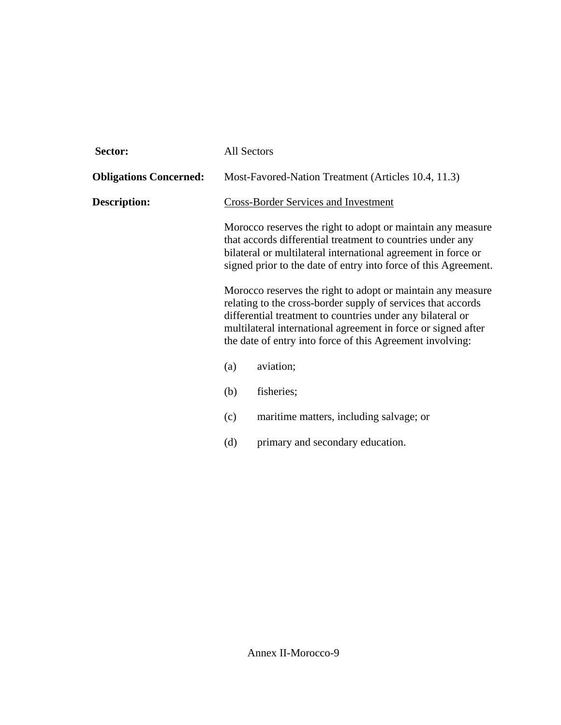| Sector:                       | <b>All Sectors</b>                                                                                                                                                                                                                                                                                                                                                                                                                                                                                                                                                                                           |                                         |  |
|-------------------------------|--------------------------------------------------------------------------------------------------------------------------------------------------------------------------------------------------------------------------------------------------------------------------------------------------------------------------------------------------------------------------------------------------------------------------------------------------------------------------------------------------------------------------------------------------------------------------------------------------------------|-----------------------------------------|--|
| <b>Obligations Concerned:</b> | Most-Favored-Nation Treatment (Articles 10.4, 11.3)                                                                                                                                                                                                                                                                                                                                                                                                                                                                                                                                                          |                                         |  |
| <b>Description:</b>           | <b>Cross-Border Services and Investment</b>                                                                                                                                                                                                                                                                                                                                                                                                                                                                                                                                                                  |                                         |  |
|                               | Morocco reserves the right to adopt or maintain any measure<br>that accords differential treatment to countries under any<br>bilateral or multilateral international agreement in force or<br>signed prior to the date of entry into force of this Agreement.<br>Morocco reserves the right to adopt or maintain any measure<br>relating to the cross-border supply of services that accords<br>differential treatment to countries under any bilateral or<br>multilateral international agreement in force or signed after<br>the date of entry into force of this Agreement involving:<br>aviation;<br>(a) |                                         |  |
|                               |                                                                                                                                                                                                                                                                                                                                                                                                                                                                                                                                                                                                              |                                         |  |
|                               |                                                                                                                                                                                                                                                                                                                                                                                                                                                                                                                                                                                                              |                                         |  |
|                               | (b)                                                                                                                                                                                                                                                                                                                                                                                                                                                                                                                                                                                                          | fisheries;                              |  |
|                               | (c)                                                                                                                                                                                                                                                                                                                                                                                                                                                                                                                                                                                                          | maritime matters, including salvage; or |  |
|                               | (d)                                                                                                                                                                                                                                                                                                                                                                                                                                                                                                                                                                                                          | primary and secondary education.        |  |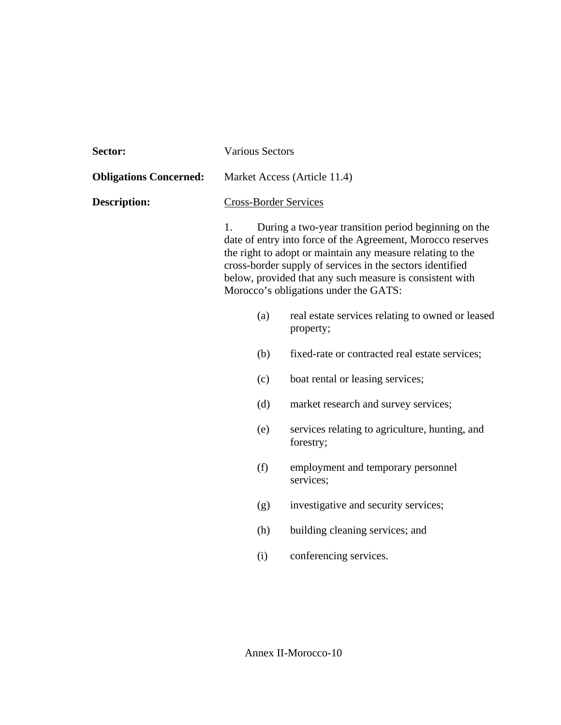| Sector:                       | <b>Various Sectors</b>                                                                                                                                                                                                                                                                                                                                    |                                                               |  |
|-------------------------------|-----------------------------------------------------------------------------------------------------------------------------------------------------------------------------------------------------------------------------------------------------------------------------------------------------------------------------------------------------------|---------------------------------------------------------------|--|
| <b>Obligations Concerned:</b> | Market Access (Article 11.4)                                                                                                                                                                                                                                                                                                                              |                                                               |  |
| <b>Description:</b>           | <b>Cross-Border Services</b>                                                                                                                                                                                                                                                                                                                              |                                                               |  |
|                               | During a two-year transition period beginning on the<br>1.<br>date of entry into force of the Agreement, Morocco reserves<br>the right to adopt or maintain any measure relating to the<br>cross-border supply of services in the sectors identified<br>below, provided that any such measure is consistent with<br>Morocco's obligations under the GATS: |                                                               |  |
|                               | (a)                                                                                                                                                                                                                                                                                                                                                       | real estate services relating to owned or leased<br>property; |  |
|                               | (b)                                                                                                                                                                                                                                                                                                                                                       | fixed-rate or contracted real estate services;                |  |
|                               | (c)                                                                                                                                                                                                                                                                                                                                                       | boat rental or leasing services;                              |  |
|                               | (d)                                                                                                                                                                                                                                                                                                                                                       | market research and survey services;                          |  |
|                               | (e)                                                                                                                                                                                                                                                                                                                                                       | services relating to agriculture, hunting, and<br>forestry;   |  |
|                               | (f)                                                                                                                                                                                                                                                                                                                                                       | employment and temporary personnel<br>services;               |  |
|                               | (g)                                                                                                                                                                                                                                                                                                                                                       | investigative and security services;                          |  |
|                               | (h)                                                                                                                                                                                                                                                                                                                                                       | building cleaning services; and                               |  |
|                               | (i)                                                                                                                                                                                                                                                                                                                                                       | conferencing services.                                        |  |
|                               |                                                                                                                                                                                                                                                                                                                                                           |                                                               |  |

Annex II-Morocco-10